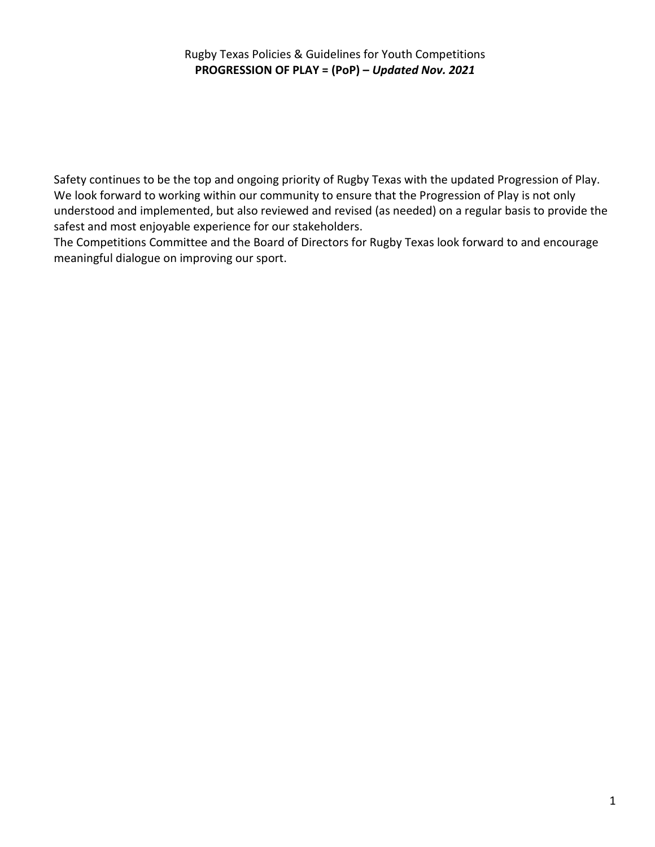### Rugby Texas Policies & Guidelines for Youth Competitions **PROGRESSION OF PLAY = (PoP) –** *Updated Nov. 2021*

Safety continues to be the top and ongoing priority of Rugby Texas with the updated Progression of Play. We look forward to working within our community to ensure that the Progression of Play is not only understood and implemented, but also reviewed and revised (as needed) on a regular basis to provide the safest and most enjoyable experience for our stakeholders.

The Competitions Committee and the Board of Directors for Rugby Texas look forward to and encourage meaningful dialogue on improving our sport.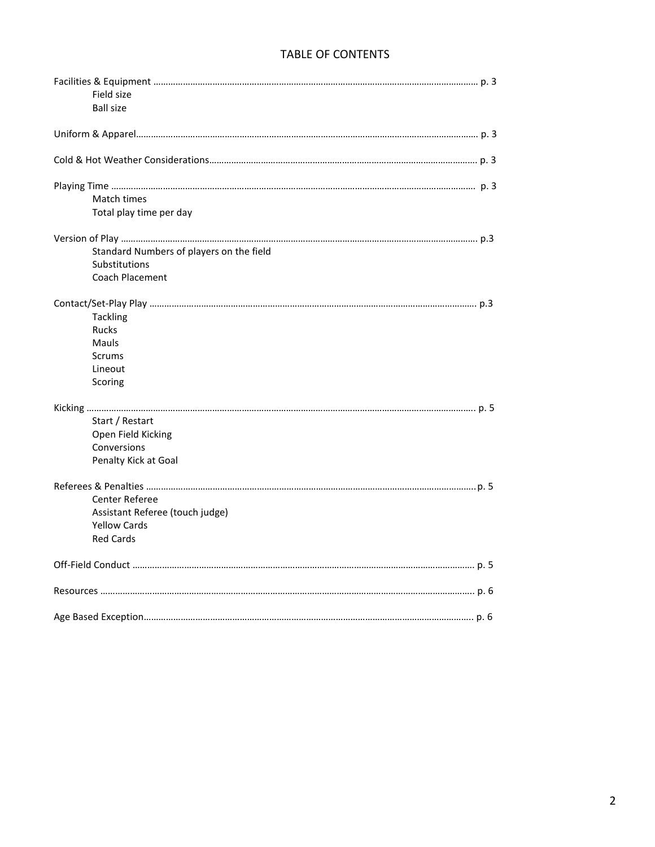# TABLE OF CONTENTS

| Field size              |                                          |  |
|-------------------------|------------------------------------------|--|
| <b>Ball size</b>        |                                          |  |
|                         |                                          |  |
|                         |                                          |  |
|                         |                                          |  |
| Match times             |                                          |  |
| Total play time per day |                                          |  |
|                         |                                          |  |
|                         | Standard Numbers of players on the field |  |
| Substitutions           |                                          |  |
| Coach Placement         |                                          |  |
|                         |                                          |  |
| <b>Tackling</b>         |                                          |  |
| <b>Rucks</b>            |                                          |  |
| Mauls                   |                                          |  |
| <b>Scrums</b>           |                                          |  |
| Lineout                 |                                          |  |
| Scoring                 |                                          |  |
|                         |                                          |  |
|                         |                                          |  |
| Start / Restart         |                                          |  |
| Open Field Kicking      |                                          |  |
| Conversions             |                                          |  |
| Penalty Kick at Goal    |                                          |  |
|                         |                                          |  |
| <b>Center Referee</b>   |                                          |  |
|                         | Assistant Referee (touch judge)          |  |
| <b>Yellow Cards</b>     |                                          |  |
| <b>Red Cards</b>        |                                          |  |
|                         |                                          |  |
|                         |                                          |  |
|                         |                                          |  |
|                         |                                          |  |
|                         |                                          |  |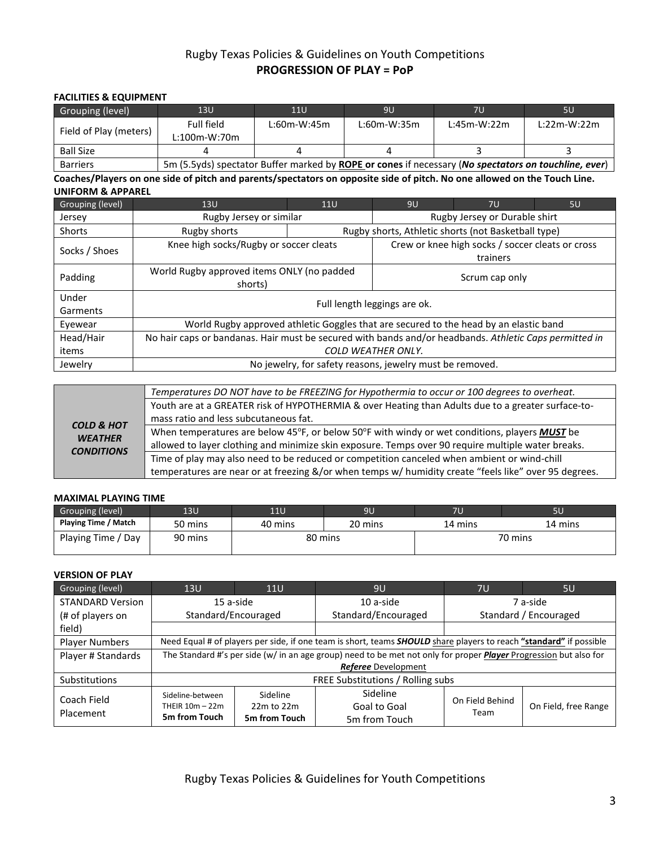### Rugby Texas Policies & Guidelines on Youth Competitions **PROGRESSION OF PLAY = PoP**

#### **FACILITIES & EQUIPMENT**

| Grouping (level)       | 13U                                                                                                  | 11U           | 9U            | 7U            | <b>5U</b>     |
|------------------------|------------------------------------------------------------------------------------------------------|---------------|---------------|---------------|---------------|
| Field of Play (meters) | Full field<br>$L:100m-W:70m$                                                                         | $L:60m-W:45m$ | $L:60m-W:35m$ | $L:45m-W:22m$ | $L:22m-W:22m$ |
| <b>Ball Size</b>       |                                                                                                      |               |               |               |               |
| <b>Barriers</b>        | 5m (5.5yds) spectator Buffer marked by ROPE or cones if necessary (No spectators on touchline, ever) |               |               |               |               |

**Coaches/Players on one side of pitch and parents/spectators on opposite side of pitch. No one allowed on the Touch Line. UNIFORM & APPAREL**

| Grouping (level)  | 13U<br><b>11U</b>                                                                                      |                | 9U                                                  | 7U                                               | 5U |  |
|-------------------|--------------------------------------------------------------------------------------------------------|----------------|-----------------------------------------------------|--------------------------------------------------|----|--|
| Jersey            | Rugby Jersey or similar                                                                                |                | Rugby Jersey or Durable shirt                       |                                                  |    |  |
| <b>Shorts</b>     | Rugby shorts                                                                                           |                | Rugby shorts, Athletic shorts (not Basketball type) |                                                  |    |  |
|                   | Knee high socks/Rugby or soccer cleats                                                                 |                |                                                     | Crew or knee high socks / soccer cleats or cross |    |  |
| Socks / Shoes     |                                                                                                        |                |                                                     | trainers                                         |    |  |
| Padding           | World Rugby approved items ONLY (no padded<br>shorts)                                                  | Scrum cap only |                                                     |                                                  |    |  |
| Under<br>Garments | Full length leggings are ok.                                                                           |                |                                                     |                                                  |    |  |
| Eyewear           | World Rugby approved athletic Goggles that are secured to the head by an elastic band                  |                |                                                     |                                                  |    |  |
| Head/Hair         | No hair caps or bandanas. Hair must be secured with bands and/or headbands. Athletic Caps permitted in |                |                                                     |                                                  |    |  |
| items             | COLD WEATHER ONLY.                                                                                     |                |                                                     |                                                  |    |  |
| Jewelry           | No jewelry, for safety reasons, jewelry must be removed.                                               |                |                                                     |                                                  |    |  |

|                                                              | Temperatures DO NOT have to be FREEZING for Hypothermia to occur or 100 degrees to overheat.          |
|--------------------------------------------------------------|-------------------------------------------------------------------------------------------------------|
|                                                              | Youth are at a GREATER risk of HYPOTHERMIA & over Heating than Adults due to a greater surface-to-    |
|                                                              | mass ratio and less subcutaneous fat.                                                                 |
| <b>COLD &amp; HOT</b><br><b>WEATHER</b><br><b>CONDITIONS</b> | When temperatures are below 45°F, or below 50°F with windy or wet conditions, players <b>MUST</b> be  |
|                                                              | allowed to layer clothing and minimize skin exposure. Temps over 90 require multiple water breaks.    |
|                                                              | Time of play may also need to be reduced or competition canceled when ambient or wind-chill           |
|                                                              | temperatures are near or at freezing &/or when temps w/ humidity create "feels like" over 95 degrees. |

#### **MAXIMAL PLAYING TIME**

| Grouping (level)     | 13U     | 11U     | 9U      | 7U      | 5U      |
|----------------------|---------|---------|---------|---------|---------|
| Playing Time / Match | 50 mins | 40 mins | 20 mins | 14 mins | 14 mins |
| Playing Time / Day   | 90 mins | 80 mins |         |         | 70 mins |

#### **VERSION OF PLAY**

| Grouping (level)        | 13U                                                                                                               | 11U                                                                                                                | 9U                  | 7U                    | 5U                   |  |  |
|-------------------------|-------------------------------------------------------------------------------------------------------------------|--------------------------------------------------------------------------------------------------------------------|---------------------|-----------------------|----------------------|--|--|
| <b>STANDARD Version</b> | 15 a-side                                                                                                         |                                                                                                                    | 10 a-side           | 7 a-side              |                      |  |  |
| (# of players on        | Standard/Encouraged                                                                                               |                                                                                                                    | Standard/Encouraged | Standard / Encouraged |                      |  |  |
| field)                  |                                                                                                                   |                                                                                                                    |                     |                       |                      |  |  |
| <b>Player Numbers</b>   |                                                                                                                   | Need Equal # of players per side, if one team is short, teams SHOULD share players to reach "standard" if possible |                     |                       |                      |  |  |
| Player # Standards      | The Standard #'s per side (w/ in an age group) need to be met not only for proper Player Progression but also for |                                                                                                                    |                     |                       |                      |  |  |
|                         | Referee Development                                                                                               |                                                                                                                    |                     |                       |                      |  |  |
| <b>Substitutions</b>    |                                                                                                                   | FREE Substitutions / Rolling subs                                                                                  |                     |                       |                      |  |  |
| Coach Field             | Sideline-between                                                                                                  | Sideline                                                                                                           | <b>Sideline</b>     | On Field Behind       |                      |  |  |
| Placement               | THEIR $10m - 22m$                                                                                                 | $22m$ to $22m$                                                                                                     | Goal to Goal        | Team                  | On Field, free Range |  |  |
|                         | 5m from Touch                                                                                                     | 5m from Touch                                                                                                      | 5m from Touch       |                       |                      |  |  |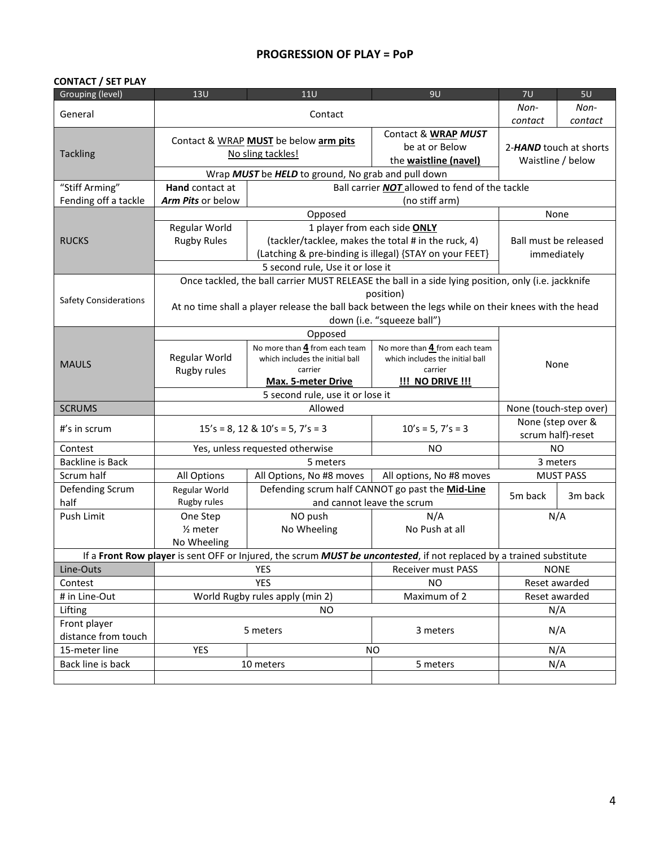### **PROGRESSION OF PLAY = PoP**

#### **CONTACT / SET PLAY**

| Grouping (level)             | 13U                                                          | 11U                                                | 9U                                                                                                                   | 7U                     | 5U                     |  |
|------------------------------|--------------------------------------------------------------|----------------------------------------------------|----------------------------------------------------------------------------------------------------------------------|------------------------|------------------------|--|
| General                      | Contact                                                      |                                                    |                                                                                                                      | Non-                   | Non-                   |  |
|                              |                                                              |                                                    |                                                                                                                      | contact                | contact                |  |
|                              | Contact & WRAP MUST<br>Contact & WRAP MUST be below arm pits |                                                    |                                                                                                                      |                        |                        |  |
| <b>Tackling</b>              |                                                              | No sling tackles!                                  | be at or Below                                                                                                       |                        | 2-HAND touch at shorts |  |
|                              |                                                              |                                                    | the waistline (navel)                                                                                                |                        | Waistline / below      |  |
|                              |                                                              | Wrap MUST be HELD to ground, No grab and pull down |                                                                                                                      |                        |                        |  |
| "Stiff Arming"               | Hand contact at                                              |                                                    | Ball carrier NOT allowed to fend of the tackle                                                                       |                        |                        |  |
| Fending off a tackle         | Arm Pits or below                                            |                                                    | (no stiff arm)                                                                                                       |                        |                        |  |
|                              |                                                              | Opposed                                            |                                                                                                                      |                        | None                   |  |
|                              | Regular World                                                |                                                    | 1 player from each side ONLY                                                                                         |                        |                        |  |
| <b>RUCKS</b>                 | <b>Rugby Rules</b>                                           |                                                    | (tackler/tacklee, makes the total # in the ruck, 4)                                                                  |                        | Ball must be released  |  |
|                              |                                                              |                                                    | (Latching & pre-binding is illegal) {STAY on your FEET}                                                              |                        | immediately            |  |
|                              |                                                              | 5 second rule, Use it or lose it                   |                                                                                                                      |                        |                        |  |
|                              |                                                              |                                                    | Once tackled, the ball carrier MUST RELEASE the ball in a side lying position, only (i.e. jackknife                  |                        |                        |  |
| <b>Safety Considerations</b> |                                                              |                                                    | position)                                                                                                            |                        |                        |  |
|                              |                                                              |                                                    | At no time shall a player release the ball back between the legs while on their knees with the head                  |                        |                        |  |
|                              |                                                              |                                                    | down (i.e. "squeeze ball")                                                                                           |                        |                        |  |
|                              | Opposed                                                      |                                                    |                                                                                                                      |                        |                        |  |
|                              | Regular World                                                | No more than 4 from each team                      | No more than 4 from each team                                                                                        | None                   |                        |  |
| <b>MAULS</b>                 | Rugby rules                                                  | which includes the initial ball<br>carrier         | which includes the initial ball<br>carrier                                                                           |                        |                        |  |
|                              |                                                              | <b>Max. 5-meter Drive</b>                          | <b>!!! NO DRIVE !!!</b>                                                                                              |                        |                        |  |
|                              |                                                              |                                                    |                                                                                                                      |                        |                        |  |
| <b>SCRUMS</b>                |                                                              | 5 second rule, use it or lose it<br>Allowed        |                                                                                                                      | None (touch-step over) |                        |  |
|                              |                                                              |                                                    |                                                                                                                      |                        | None (step over &      |  |
| $#$ 's in scrum              |                                                              | $15's = 8$ , 12 & 10's = 5, 7's = 3                | $10's = 5, 7's = 3$                                                                                                  |                        | scrum half)-reset      |  |
| Contest                      |                                                              | Yes, unless requested otherwise                    | <b>NO</b>                                                                                                            |                        | <b>NO</b>              |  |
| <b>Backline is Back</b>      |                                                              | 5 meters                                           |                                                                                                                      |                        | 3 meters               |  |
| Scrum half                   | All Options                                                  | All Options, No #8 moves                           | All options, No #8 moves                                                                                             |                        | <b>MUST PASS</b>       |  |
| Defending Scrum              | Regular World                                                |                                                    | Defending scrum half CANNOT go past the Mid-Line                                                                     | 5m back                | 3m back                |  |
| half                         | Rugby rules                                                  |                                                    | and cannot leave the scrum                                                                                           |                        |                        |  |
| Push Limit                   | One Step                                                     | NO push                                            | N/A                                                                                                                  |                        | N/A                    |  |
|                              | $2$ meter                                                    | No Wheeling                                        | No Push at all                                                                                                       |                        |                        |  |
|                              | No Wheeling                                                  |                                                    |                                                                                                                      |                        |                        |  |
|                              |                                                              |                                                    | If a Front Row player is sent OFF or Injured, the scrum MUST be uncontested, if not replaced by a trained substitute |                        |                        |  |
| Line-Outs                    | <b>YES</b>                                                   |                                                    | Receiver must PASS                                                                                                   | <b>NONE</b>            |                        |  |
| Contest                      | <b>YES</b>                                                   |                                                    | <b>NO</b>                                                                                                            | Reset awarded          |                        |  |
| # in Line-Out                | World Rugby rules apply (min 2)                              |                                                    | Maximum of 2                                                                                                         |                        | Reset awarded          |  |
| Lifting                      |                                                              | <b>NO</b>                                          |                                                                                                                      |                        | N/A                    |  |
| Front player                 |                                                              | 5 meters                                           | 3 meters                                                                                                             |                        | N/A                    |  |
| distance from touch          |                                                              |                                                    |                                                                                                                      |                        |                        |  |
| 15-meter line                | <b>YES</b>                                                   |                                                    | <b>NO</b>                                                                                                            |                        | N/A                    |  |
| Back line is back            |                                                              | 10 meters                                          | 5 meters                                                                                                             |                        | N/A                    |  |
|                              |                                                              |                                                    |                                                                                                                      |                        |                        |  |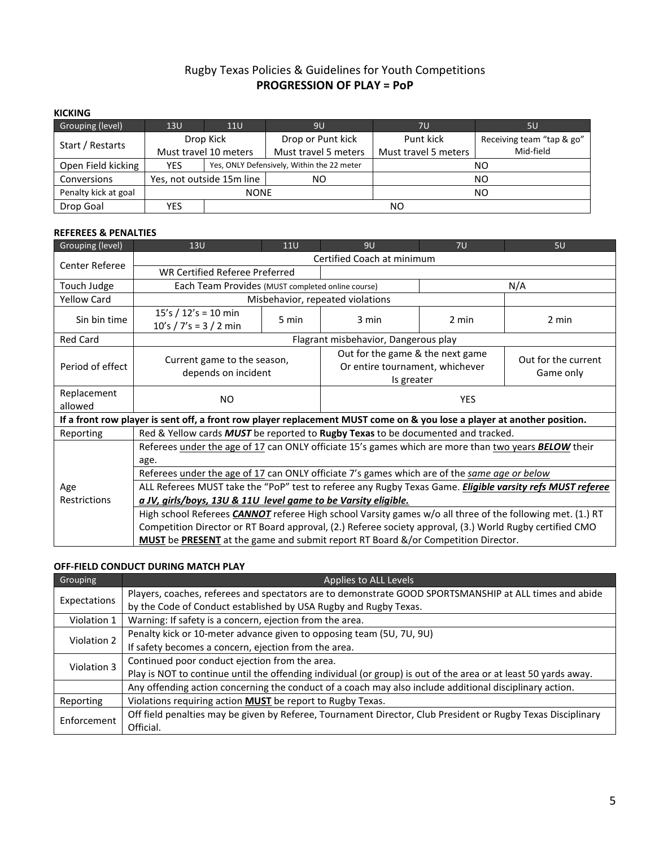## Rugby Texas Policies & Guidelines for Youth Competitions **PROGRESSION OF PLAY = PoP**

#### **KICKING**

| Grouping (level)     | 13U                       | 11U                   | 9U                                         | 7U                                | 5U                        |
|----------------------|---------------------------|-----------------------|--------------------------------------------|-----------------------------------|---------------------------|
| Start / Restarts     | Drop Kick                 |                       | Drop or Punt kick                          | Punt kick                         | Receiving team "tap & go" |
|                      |                           | Must travel 10 meters | Must travel 5 meters                       | Mid-field<br>Must travel 5 meters |                           |
| Open Field kicking   | <b>YES</b>                |                       | Yes, ONLY Defensively, Within the 22 meter | NΟ                                |                           |
| Conversions          | Yes, not outside 15m line |                       | NO                                         | NO                                |                           |
| Penalty kick at goal | <b>NONE</b>               |                       |                                            |                                   | ΝO                        |
| Drop Goal            | YES                       |                       |                                            | NΟ                                |                           |

#### **REFEREES & PENALTIES**

| Grouping (level)   | 13U                                                                                                                     | <b>11U</b> | 9U                                   | 7U    | 5U                                                                                |  |  |  |  |
|--------------------|-------------------------------------------------------------------------------------------------------------------------|------------|--------------------------------------|-------|-----------------------------------------------------------------------------------|--|--|--|--|
| Center Referee     | Certified Coach at minimum                                                                                              |            |                                      |       |                                                                                   |  |  |  |  |
|                    | <b>WR Certified Referee Preferred</b>                                                                                   |            |                                      |       |                                                                                   |  |  |  |  |
| Touch Judge        | Each Team Provides (MUST completed online course)                                                                       |            |                                      |       | N/A                                                                               |  |  |  |  |
| <b>Yellow Card</b> |                                                                                                                         |            | Misbehavior, repeated violations     |       |                                                                                   |  |  |  |  |
| Sin bin time       | 15's / $12's = 10$ min                                                                                                  |            | 3 min                                | 2 min |                                                                                   |  |  |  |  |
|                    | $10's / 7's = 3 / 2 min$                                                                                                | 5 min      |                                      |       | 2 min                                                                             |  |  |  |  |
| <b>Red Card</b>    |                                                                                                                         |            | Flagrant misbehavior, Dangerous play |       |                                                                                   |  |  |  |  |
|                    |                                                                                                                         |            | Out for the game & the next game     |       | Out for the current                                                               |  |  |  |  |
| Period of effect   | Current game to the season,<br>depends on incident                                                                      |            | Or entire tournament, whichever      |       | Game only                                                                         |  |  |  |  |
|                    |                                                                                                                         |            | Is greater                           |       |                                                                                   |  |  |  |  |
| Replacement        | NO.                                                                                                                     |            | <b>YES</b>                           |       |                                                                                   |  |  |  |  |
| allowed            |                                                                                                                         |            |                                      |       |                                                                                   |  |  |  |  |
|                    | If a front row player is sent off, a front row player replacement MUST come on & you lose a player at another position. |            |                                      |       |                                                                                   |  |  |  |  |
| Reporting          | Red & Yellow cards <b>MUST</b> be reported to <b>Rugby Texas</b> to be documented and tracked.                          |            |                                      |       |                                                                                   |  |  |  |  |
|                    | Referees under the age of 17 can ONLY officiate 15's games which are more than two years <b>BELOW</b> their             |            |                                      |       |                                                                                   |  |  |  |  |
|                    | age.                                                                                                                    |            |                                      |       |                                                                                   |  |  |  |  |
|                    | Referees under the age of 17 can ONLY officiate 7's games which are of the same age or below                            |            |                                      |       |                                                                                   |  |  |  |  |
| Age                | ALL Referees MUST take the "PoP" test to referee any Rugby Texas Game. Eligible varsity refs MUST referee               |            |                                      |       |                                                                                   |  |  |  |  |
| Restrictions       | a JV, girls/boys, 13U & 11U level game to be Varsity eligible.                                                          |            |                                      |       |                                                                                   |  |  |  |  |
|                    | High school Referees <b>CANNOT</b> referee High school Varsity games w/o all three of the following met. (1.) RT        |            |                                      |       |                                                                                   |  |  |  |  |
|                    | Competition Director or RT Board approval, (2.) Referee society approval, (3.) World Rugby certified CMO                |            |                                      |       |                                                                                   |  |  |  |  |
|                    |                                                                                                                         |            |                                      |       | MUST be PRESENT at the game and submit report RT Board &/or Competition Director. |  |  |  |  |

### **OFF-FIELD CONDUCT DURING MATCH PLAY**

| Grouping     | Applies to ALL Levels                                                                                           |
|--------------|-----------------------------------------------------------------------------------------------------------------|
|              | Players, coaches, referees and spectators are to demonstrate GOOD SPORTSMANSHIP at ALL times and abide          |
| Expectations | by the Code of Conduct established by USA Rugby and Rugby Texas.                                                |
| Violation 1  | Warning: If safety is a concern, ejection from the area.                                                        |
| Violation 2  | Penalty kick or 10-meter advance given to opposing team (5U, 7U, 9U)                                            |
|              | If safety becomes a concern, ejection from the area.                                                            |
| Violation 3  | Continued poor conduct ejection from the area.                                                                  |
|              | Play is NOT to continue until the offending individual (or group) is out of the area or at least 50 yards away. |
|              | Any offending action concerning the conduct of a coach may also include additional disciplinary action.         |
| Reporting    | Violations requiring action MUST be report to Rugby Texas.                                                      |
| Enforcement  | Off field penalties may be given by Referee, Tournament Director, Club President or Rugby Texas Disciplinary    |
|              | Official.                                                                                                       |